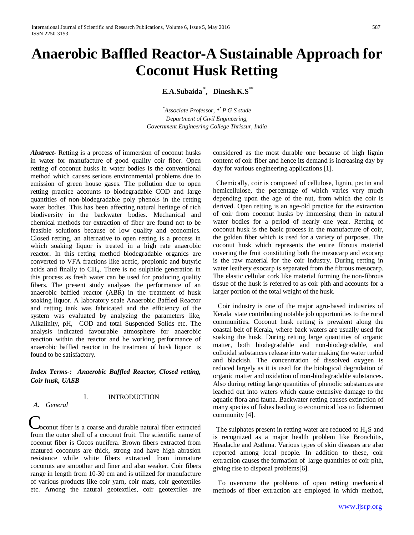# **Anaerobic Baffled Reactor-A Sustainable Approach for Coconut Husk Retting**

**E.A.Subaida \* , Dinesh.K.S\*\***

*\* Associate Professor, \*\* P G S stude Department of Civil Engineering, Government Engineering College Thrissur, India*

*Abstract***-** Retting is a process of immersion of coconut husks in water for manufacture of good quality coir fiber. Open retting of coconut husks in water bodies is the conventional method which causes serious environmental problems due to emission of green house gases. The pollution due to open retting practice accounts to biodegradable COD and large quantities of non-biodegradable poly phenols in the retting water bodies. This has been affecting natural heritage of rich biodiversity in the backwater bodies. Mechanical and chemical methods for extraction of fiber are found not to be feasible solutions because of low quality and economics. Closed retting, an alternative to open retting is a process in which soaking liquor is treated in a high rate anaerobic reactor. In this retting method biodegradable organics are converted to VFA fractions like acetic, propionic and butyric acids and finally to  $CH<sub>4</sub>$ . There is no sulphide generation in this process as fresh water can be used for producing quality fibers. The present study analyses the performance of an anaerobic baffled reactor (ABR) in the treatment of husk soaking liquor. A laboratory scale Anaerobic Baffled Reactor and retting tank was fabricated and the efficiency of the system was evaluated by analyzing the parameters like, Alkalinity, pH, COD and total Suspended Solids etc. The analysis indicated favourable atmosphere for anaerobic reaction within the reactor and he working performance of anaerobic baffled reactor in the treatment of husk liquor is found to be satisfactory.

# *Index Terms-: Anaerobic Baffled Reactor, Closed retting, Coir husk, UASB*

I. INTRODUCTION

# *A. General*

Coconut fiber is a coarse and durable natural fiber extracted from the outer shell of a coconut fruit. The scientific name of coconut fiber is Cocos nucifera. Brown fibers extracted from matured coconuts are thick, strong and have high abrasion resistance while white fibers extracted from immature coconuts are smoother and finer and also weaker. Coir fibers range in length from 10-30 cm and is utilized for manufacture of various products like coir yarn, coir mats, coir geotextiles etc. Among the natural geotextiles, coir geotextiles are

considered as the most durable one because of high lignin content of coir fiber and hence its demand is increasing day by day for various engineering applications [1].

 Chemically, coir is composed of cellulose, lignin, pectin and hemicellulose, the percentage of which varies very much depending upon the age of the nut, from which the coir is derived. Open retting is an age-old practice for the extraction of coir from coconut husks by immersing them in natural water bodies for a period of nearly one year. Retting of coconut husk is the basic process in the manufacture of coir, the golden fiber which is used for a variety of purposes. The coconut husk which represents the entire fibrous material covering the fruit constituting both the mesocarp and exocarp is the raw material for the coir industry. During retting in water leathery exocarp is separated from the fibrous mesocarp. The elastic cellular cork like material forming the non-fibrous tissue of the husk is referred to as coir pith and accounts for a larger portion of the total weight of the husk.

 Coir industry is one of the major agro-based industries of Kerala state contributing notable job opportunities to the rural communities. Coconut husk retting is prevalent along the coastal belt of Kerala, where back waters are usually used for soaking the husk. During retting large quantities of organic matter, both biodegradable and non-biodegradable, and colloidal substances release into water making the water turbid and blackish. The concentration of dissolved oxygen is reduced largely as it is used for the biological degradation of organic matter and oxidation of non-biodegradable substances. Also during retting large quantities of phenolic substances are leached out into waters which cause extensive damage to the aquatic flora and fauna. Backwater retting causes extinction of many species of fishes leading to economical loss to fishermen community [4].

The sulphates present in retting water are reduced to  $H_2S$  and is recognized as a major health problem like Bronchitis, Headache and Asthma. Various types of skin diseases are also reported among local people. In addition to these, coir extraction causes the formation of large quantities of coir pith, giving rise to disposal problems[6].

 To overcome the problems of open retting mechanical methods of fiber extraction are employed in which method,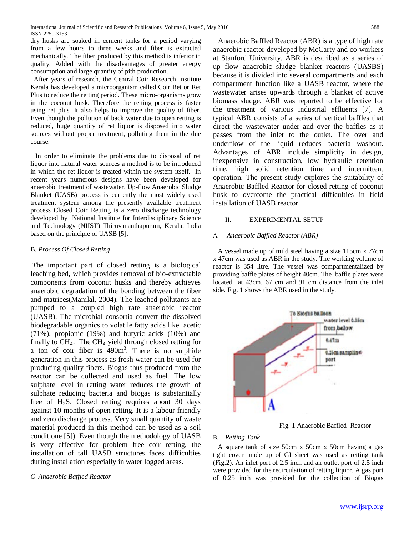dry husks are soaked in cement tanks for a period varying from a few hours to three weeks and fiber is extracted mechanically. The fiber produced by this method is inferior in quality. Added with the disadvantages of greater energy consumption and large quantity of pith production.

 After years of research, the Central Coir Research Institute Kerala has developed a microorganism called Coir Ret or Ret Plus to reduce the retting period. These micro-organisms grow in the coconut husk. Therefore the retting process is faster using ret plus. It also helps to improve the quality of fiber. Even though the pollution of back water due to open retting is reduced, huge quantity of ret liquor is disposed into water sources without proper treatment, polluting them in the due course.

 In order to eliminate the problems due to disposal of ret liquor into natural water sources a method is to be introduced in which the ret liquor is treated within the system itself. In recent years numerous designs have been developed for anaerobic treatment of wastewater. Up-flow Anaerobic Sludge Blanket (UASB) process is currently the most widely used treatment system among the presently available treatment process Closed Coir Retting is a zero discharge technology developed by National Institute for Interdisciplinary Science and Technology (NIIST) Thiruvananthapuram, Kerala, India based on the principle of UASB [5].

# B. *Process Of Closed Retting*

*T*he important part of closed retting is a biological leaching bed, which provides removal of bio-extractable components from coconut husks and thereby achieves anaerobic degradation of the bonding between the fiber and matrices(Manilal, 2004). The leached pollutants are pumped to a coupled high rate anaerobic reactor (UASB). The microbial consortia convert the dissolved biodegradable organics to volatile fatty acids like acetic (71%), propionic (19%) and butyric acids (10%) and finally to  $CH_4$ . The  $CH_4$  yield through closed retting for a ton of coir fiber is  $490m<sup>3</sup>$ . There is no sulphide generation in this process as fresh water can be used for producing quality fibers. Biogas thus produced from the reactor can be collected and used as fuel. The low sulphate level in retting water reduces the growth of sulphate reducing bacteria and biogas is substantially free of  $H_2S$ . Closed retting requires about 30 days against 10 months of open retting. It is a labour friendly and zero discharge process. Very small quantity of waste material produced in this method can be used as a soil conditione [5]). Even though the methodology of UASB is very effective for problem free coir retting, the installation of tall UASB structures faces difficulties during installation especially in water logged areas.

# *C Anaerobic Baffled Reactor*

 Anaerobic Baffled Reactor (ABR) is a type of high rate anaerobic reactor developed by McCarty and co-workers at Stanford University. ABR is described as a series of up flow anaerobic sludge blanket reactors (UASBS) because it is divided into several compartments and each compartment function like a UASB reactor, where the wastewater arises upwards through a blanket of active biomass sludge. ABR was reported to be effective for the treatment of various industrial effluents [7]. A typical ABR consists of a series of vertical baffles that direct the wastewater under and over the baffles as it passes from the inlet to the outlet. The over and underflow of the liquid reduces bacteria washout. Advantages of ABR include simplicity in design, inexpensive in construction, low hydraulic retention time, high solid retention time and intermittent operation. The present study explores the suitability of Anaerobic Baffled Reactor for closed retting of coconut husk to overcome the practical difficulties in field installation of UASB reactor.

# II. EXPERIMENTAL SETUP

# A. *Anaerobic Baffled Reactor (ABR)*

A vessel made up of mild steel having a size 115cm x 77cm x 47cm was used as ABR in the study. The working volume of reactor is 354 litre. The vessel was compartmentalized by providing baffle plates of height 40cm. The baffle plates were located at 43cm, 67 cm and 91 cm distance from the inlet side. Fig. 1 shows the ABR used in the study.



Fig. 1 Anaerobic Baffled Reactor

# B. *Retting Tank*

A square tank of size 50cm x 50cm x 50cm having a gas tight cover made up of GI sheet was used as retting tank (Fig.2). An inlet port of 2.5 inch and an outlet port of 2.5 inch were provided for the recirculation of retting liquor. A gas port of 0.25 inch was provided for the collection of Biogas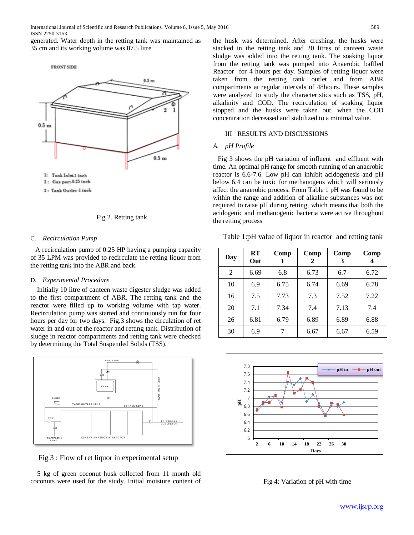generated. Water depth in the retting tank was maintained as 35 cm and its working volume was 87.5 litre.

**FRONT SIDE** 





#### C. *Recirculation Pump*

A recirculation pump of 0.25 HP having a pumping capacity of 35 LPM was provided to recirculate the retting liquor from the retting tank into the ABR and back.

#### D. *Experimental Procedure*

Initially 10 litre of canteen waste digester sludge was added to the first compartment of ABR. The retting tank and the reactor were filled up to working volume with tap water. Recirculation pump was started and continuously run for four hours per day for two days. Fig.3 shows the circulation of ret water in and out of the reactor and retting tank. Distribution of sludge in reactor compartments and retting tank were checked by determining the Total Suspended Solids (TSS).



Fig 3 : Flow of ret liquor in experimental setup

 5 kg of green coconut husk collected from 11 month old coconuts were used for the study. Initial moisture content of the husk was determined. After crushing, the husks were stacked in the retting tank and 20 litres of canteen waste sludge was added into the retting tank. The soaking liquor from the retting tank was pumped into Anaerobic baffled Reactor for 4 hours per day. Samples of retting liquor were taken from the retting tank outlet and from ABR compartments at regular intervals of 48hours. These samples were analyzed to study the characteristics such as TSS, pH, alkalinity and COD. The recirculation of soaking liquor stopped and the husks were taken out. when the COD concentration decreased and stabilized to a minimal value.

# III RESULTS AND DISCUSSIONS

### *A. pH Profile*

Fig 3 shows the pH variation of influent and effluent with time. An optimal pH range for smooth running of an anaerobic reactor is 6.6-7.6. Low pH can inhibit acidogenesis and pH below 6.4 can be toxic for methanogens which will seriously affect the anaerobic process. From Table 1 pH was found to be within the range and addition of alkaline substances was not required to raise pH during retting, which means that both the acidogenic and methanogenic bacteria were active throughout the retting process

Table 1:pH value of liquor in reactor and retting tank

| Day            | RT<br>Out | Comp | Comp<br>2 | Comp<br>3 | Comp |
|----------------|-----------|------|-----------|-----------|------|
| $\overline{2}$ | 6.69      | 6.8  | 6.73      | 6.7       | 6.72 |
| 10             | 6.9       | 6.75 | 6.74      | 6.69      | 6.78 |
| 16             | 7.5       | 7.73 | 7.3       | 7.52      | 7.22 |
| 20             | 7.1       | 7.34 | 7.4       | 7.13      | 7.4  |
| 26             | 6.81      | 6.79 | 6.89      | 6.89      | 6.88 |
| 30             | 6.9       | 7    | 6.67      | 6.67      | 6.59 |



Fig 4: Variation of pH with time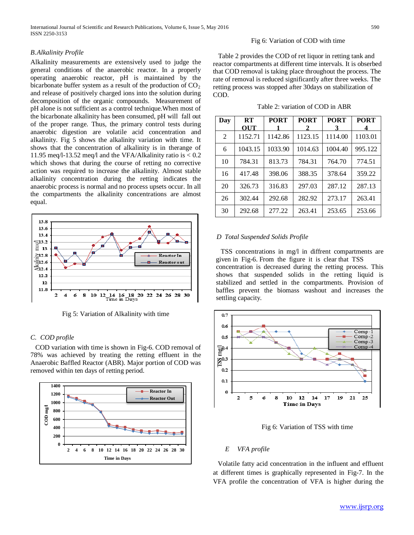#### Fig 6: Variation of COD with time

*B.Alkalinity Profile*

Alkalinity measurements are extensively used to judge the general conditions of the anaerobic reactor. In a properly operating anaerobic reactor, pH is maintained by the bicarbonate buffer system as a result of the production of  $CO<sub>2</sub>$ and release of positively charged ions into the solution during decomposition of the organic compounds. Measurement of pH alone is not sufficient as a control technique.When most of the bicarbonate alkalinity has been consumed, pH will fall out of the proper range. Thus, the primary control tests during anaerobic digestion are volatile acid concentration and alkalinity. Fig 5 shows the alkalinity variation with time. It shows that the concentration of alkalinity is in therange of 11.95 meq/l-13.52 meq/l and the VFA/Alkalinity ratio is < 0.2 which shows that during the course of retting no corrective action was required to increase the alkalinity. Almost stable alkalinity concentration during the retting indicates the anaerobic process is normal and no process upsets occur. In all the compartments the alkalinity concentrations are almost equal.



Fig 5: Variation of Alkalinity with time

#### *C. COD profile*

COD variation with time is shown in Fig-6. COD removal of 78% was achieved by treating the retting effluent in the Anaerobic Baffled Reactor (ABR). Major portion of COD was removed within ten days of retting period.



 Table 2 provides the COD of ret liquor in retting tank and reactor compartments at different time intervals. It is obserbed that COD removal is taking place throughout the process. The rate of removal is reduced significantly after three weeks. The retting process was stopped after 30days on stabilization of COD.

| Table 2: variation of COD in ABR |
|----------------------------------|
|----------------------------------|

| Day | RT<br>OUT | <b>PORT</b> | <b>PORT</b><br>2 | <b>PORT</b><br>3 | <b>PORT</b> |
|-----|-----------|-------------|------------------|------------------|-------------|
| 2   | 1152.71   | 1142.86     | 1123.15          | 1114.00          | 1103.01     |
| 6   | 1043.15   | 1033.90     | 1014.63          | 1004.40          | 995.122     |
| 10  | 784.31    | 813.73      | 784.31           | 764.70           | 774.51      |
| 16  | 417.48    | 398.06      | 388.35           | 378.64           | 359.22      |
| 20  | 326.73    | 316.83      | 297.03           | 287.12           | 287.13      |
| 26  | 302.44    | 292.68      | 282.92           | 273.17           | 263.41      |
| 30  | 292.68    | 277.22      | 263.41           | 253.65           | 253.66      |

#### *D Total Suspended Solids Profile*

TSS concentrations in mg/l in diffrent compartments are given in Fig-6. From the figure it is clear that TSS concentration is decreased during the retting process. This shows that suspended solids in the retting liquid is stabilized and settled in the compartments. Provision of baffles prevent the biomass washout and increases the settling capacity.



Fig 6: Variation of TSS with time

#### *E VFA profile*

Volatile fatty acid concentration in the influent and effluent at different times is graphically represented in Fig-7. In the VFA profile the concentration of VFA is higher during the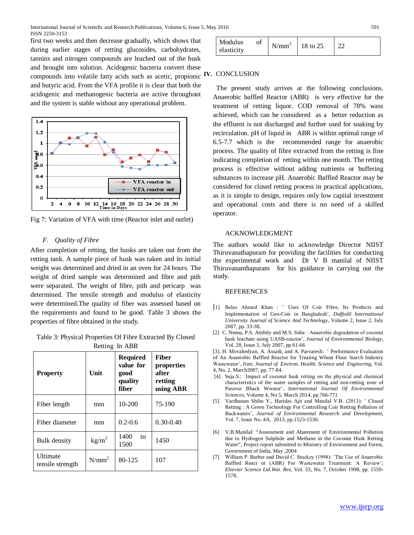first two weeks and then decrease gradually, which shows that during earlier stages of retting glucosides, carbohydrates, tannins and nitrogen compounds are leached out of the husk and brought into solution. Acidogenic bacteria convert these compounds into volatile fatty acids such as acetic, propionic and butyric acid. From the VFA profile it is clear that both the acidogenic and methanogenic bacteria are active throughout and the system is stable without any operational problem.



Fig 7: Variation of VFA with time (Reactor inlet and outlet)

# *F. Quality of Fibre*

After completion of retting, the husks are taken out from the retting tank. A sample piece of husk was taken and its initial weight was determined and dried in an oven for 24 hours. The weight of dried sample was determined and fibre and pith were separated. The weight of fibre, pith and pericarp was determined. The tensile strength and modulus of elasticity were determined.The quality of fiber was assessed based on the requirements and found to be good. Table 3 shows the properties of fibre obtained in the study.

Table 3: Physical Properties Of Fibre Extracted By Closed Retting In ABR

| <b>Property</b>                     | Unit            | <b>Required</b><br>value for<br>good<br>quality<br>fiber | <b>Fiber</b><br>properties<br>after<br>retting<br>using ABR |  |
|-------------------------------------|-----------------|----------------------------------------------------------|-------------------------------------------------------------|--|
| Fiber length                        | mm              | 10-200                                                   | 75-190                                                      |  |
| Fiber diameter                      | mm              | $0.2 - 0.6$                                              | $0.30 - 0.40$                                               |  |
| Bulk density                        | $\text{kg/m}^3$ | 1400<br>to<br>1500                                       | 1450                                                        |  |
| <b>Ultimate</b><br>tensile strength | $N/mm^2$        | 80-125                                                   | 107                                                         |  |

| Modulus    | Οİ | N/mm <sup>2</sup>   18 to 25 |  |
|------------|----|------------------------------|--|
| elasticity |    |                              |  |

# **IV.** CONCLUSION

 The present study arrives at the following conclusions. Anaerobic baffled Reactor (ABR) is very effective for the treatment of retting liquor. COD removal of 78% wass achieved, which can be considered as a better reduction as the effluent is not discharged and further used for soaking by recirculation. pH of liquid in ABR is within optimal range of 6.5-7.7 which is the recommended range for anaerobic process. The quality of fibre extracted from the retting is fine indicating completion of retting within one month. The retting process is effective without adding nutrients or buffering substances to increase pH. Anaerobic Baffled Reactor may be considered for closed retting process in practical applications, as it is simple to design, requires only low capital investment and operational costs and there is no need of a skilled operator.

#### ACKNOWLEDGMENT

The authors would like to acknowledge Director NIIST Thiruvanathapuram for providing the facilities for conducting the experimental work and Dr V B manilal of NIIST Thiruvananthapuram for his guidance in carrying out the study.

#### REFERENCES

- [1] Belas Ahmed Khan : ʽ Uses Of Coir Fibre, Its Products and Implementation of Geo-Coir in Bangladesh', *Daffodil International University Journal of Science And Technology*, Volume 2, Issue 2, July 2007, pp. 33-38.
- [2] C. Neena, P.S. Ambily and M.S. Jisha : Anaerobic degradation of coconut husk leachate using UASB-reactor', *Journal of Environmental Biology*, Vol. 28, Issue 3, July 2007, pp.61-66

[3]. H. Movahedyan, A. Assadi, and A. Parvaresh: `Performance Evaluation of An Anaerobic Baffled Reactor for Treating Wheat Flour Starch Industry Wastewater', *Iran. Journal of Environ. Health. Science and Enginering*, Vol. 4, No. 2, March2007, pp. 77-84.

- [4] Suja.S.: 'Impact of coconut husk retting on the physical and chemical characteristics of the water samples of retting and non-retting zone of Paravur Bback Wwater', *International Journal Of Environmental Sciences*, Volume 4, No 5, March 2014, pp.766-771
- [5] Vardhanan Shibu Y., Haridas Ajit and Manilal V.B. (2013): 'Closed Retting : A Green Technology For Controlling Coir Retting Pollution of Backwaters', *Journal of Environmental Research and Development*, Vol. 7, Issue No. 4A, 2013, pp.1523-1530.
- [6] V.B.Manilal: "Assessment and Abatement of Environmental Pollution due to Hydrogen Sulphide and Methane in the Coconut Husk Retting Water", Project report submitted to Ministry of Environment and Forest, Government of India, May ,2004
- [7] William P. Barber and David C. Stuckey (1998): 'The Use of Anaerobic Baffled React or (ABR) For Wastewater Treatment: A Review', *Elsevier Science Ltd.Wat. Res*, Vol. 33, No. 7, October 1998, pp. 1559- 1578,